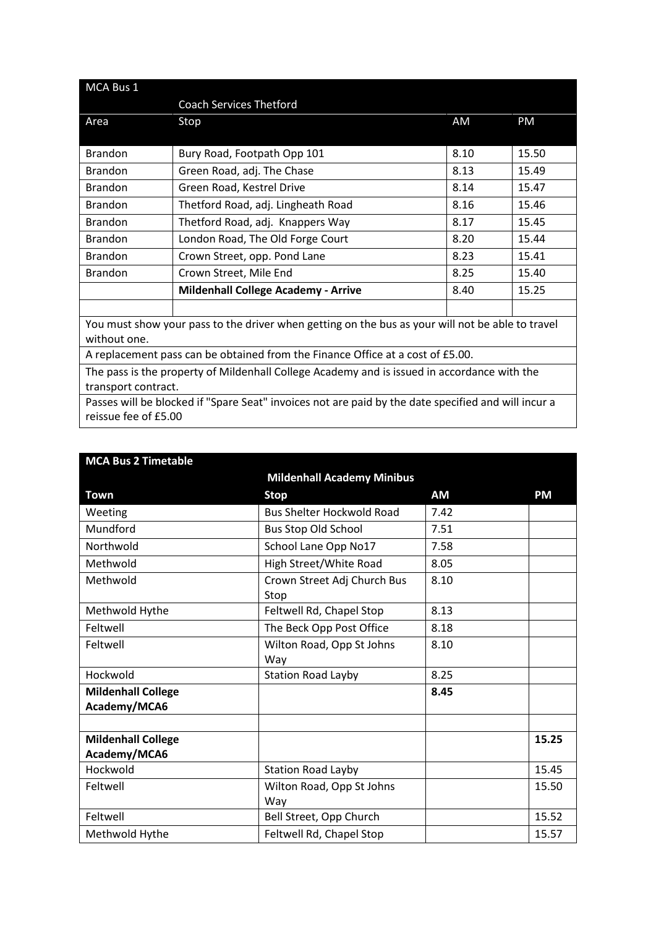| MCA Bus 1                                                                                           |                                            |      |       |  |
|-----------------------------------------------------------------------------------------------------|--------------------------------------------|------|-------|--|
|                                                                                                     | <b>Coach Services Thetford</b>             |      |       |  |
| Area                                                                                                | Stop                                       | AM   | PM    |  |
|                                                                                                     |                                            |      |       |  |
| <b>Brandon</b>                                                                                      | Bury Road, Footpath Opp 101                | 8.10 | 15.50 |  |
| <b>Brandon</b>                                                                                      | Green Road, adj. The Chase                 | 8.13 | 15.49 |  |
| <b>Brandon</b>                                                                                      | Green Road, Kestrel Drive                  | 8.14 | 15.47 |  |
| <b>Brandon</b>                                                                                      | Thetford Road, adj. Lingheath Road         | 8.16 | 15.46 |  |
| <b>Brandon</b>                                                                                      | Thetford Road, adj. Knappers Way           | 8.17 | 15.45 |  |
| <b>Brandon</b>                                                                                      | London Road, The Old Forge Court           | 8.20 | 15.44 |  |
| <b>Brandon</b>                                                                                      | Crown Street, opp. Pond Lane               | 8.23 | 15.41 |  |
| <b>Brandon</b>                                                                                      | Crown Street, Mile End                     | 8.25 | 15.40 |  |
|                                                                                                     | <b>Mildenhall College Academy - Arrive</b> | 8.40 | 15.25 |  |
|                                                                                                     |                                            |      |       |  |
| You must show your pass to the driver when getting on the bus as your will not be able to travel    |                                            |      |       |  |
| without one.                                                                                        |                                            |      |       |  |
| A replacement pass can be obtained from the Finance Office at a cost of £5.00.                      |                                            |      |       |  |
| The pass is the property of Mildenhall College Academy and is issued in accordance with the         |                                            |      |       |  |
| transport contract.                                                                                 |                                            |      |       |  |
| Passes will be blocked if "Spare Seat" invoices not are paid by the date specified and will incur a |                                            |      |       |  |

| reissue fee of £5.00 |  |  |
|----------------------|--|--|
|                      |  |  |

| <b>MCA Bus 2 Timetable</b>                |                                     |           |           |
|-------------------------------------------|-------------------------------------|-----------|-----------|
|                                           | <b>Mildenhall Academy Minibus</b>   |           |           |
| Town                                      | <b>Stop</b>                         | <b>AM</b> | <b>PM</b> |
| Weeting                                   | <b>Bus Shelter Hockwold Road</b>    | 7.42      |           |
| Mundford                                  | <b>Bus Stop Old School</b>          | 7.51      |           |
| Northwold                                 | School Lane Opp No17                | 7.58      |           |
| Methwold                                  | High Street/White Road              | 8.05      |           |
| Methwold                                  | Crown Street Adj Church Bus<br>Stop | 8.10      |           |
| Methwold Hythe                            | Feltwell Rd, Chapel Stop            | 8.13      |           |
| Feltwell                                  | The Beck Opp Post Office            | 8.18      |           |
| Feltwell                                  | Wilton Road, Opp St Johns<br>Way    | 8.10      |           |
| Hockwold                                  | <b>Station Road Layby</b>           | 8.25      |           |
| <b>Mildenhall College</b><br>Academy/MCA6 |                                     | 8.45      |           |
| <b>Mildenhall College</b><br>Academy/MCA6 |                                     |           | 15.25     |
| Hockwold                                  | <b>Station Road Layby</b>           |           | 15.45     |
| Feltwell                                  | Wilton Road, Opp St Johns<br>Wav    |           | 15.50     |
| Feltwell                                  | Bell Street, Opp Church             |           | 15.52     |
| Methwold Hythe                            | Feltwell Rd, Chapel Stop            |           | 15.57     |